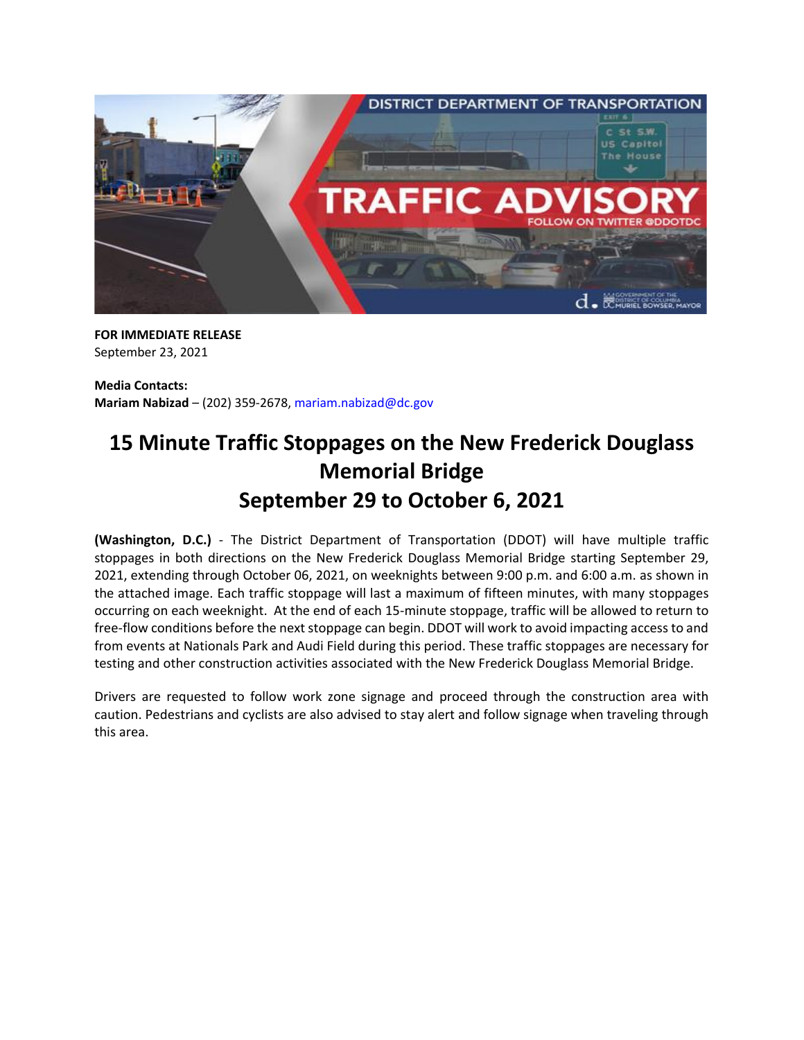

**FOR IMMEDIATE RELEASE** September 23, 2021

**Media Contacts: Mariam Nabizad** – (202) 359-2678, [mariam.nabizad@dc.gov](mailto:mariam.nabizad@dc.gov)

## **15 Minute Traffic Stoppages on the New Frederick Douglass Memorial Bridge September 29 to October 6, 2021**

**(Washington, D.C.)** - The District Department of Transportation (DDOT) will have multiple traffic stoppages in both directions on the New Frederick Douglass Memorial Bridge starting September 29, 2021, extending through October 06, 2021, on weeknights between 9:00 p.m. and 6:00 a.m. as shown in the attached image. Each traffic stoppage will last a maximum of fifteen minutes, with many stoppages occurring on each weeknight. At the end of each 15-minute stoppage, traffic will be allowed to return to free-flow conditions before the next stoppage can begin. DDOT will work to avoid impacting access to and from events at Nationals Park and Audi Field during this period. These traffic stoppages are necessary for testing and other construction activities associated with the New Frederick Douglass Memorial Bridge.

Drivers are requested to follow work zone signage and proceed through the construction area with caution. Pedestrians and cyclists are also advised to stay alert and follow signage when traveling through this area.